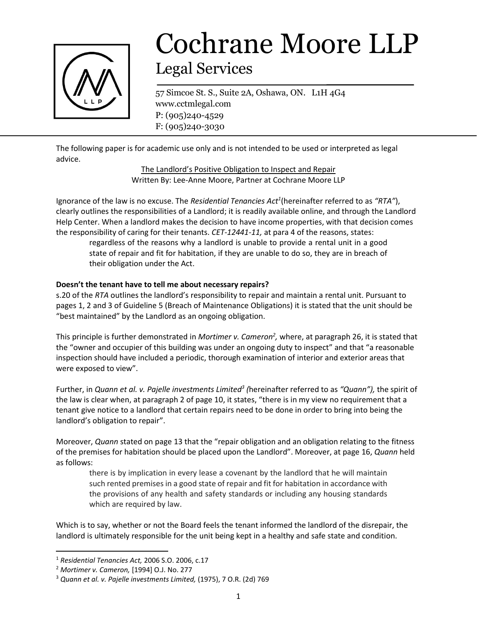

# Cochrane Moore LLP Legal Services

57 Simcoe St. S., Suite 2A, Oshawa, ON. L1H 4G4 www.cctmlegal.com P: (905)240-4529 F: (905)240-3030

The following paper is for academic use only and is not intended to be used or interpreted as legal advice.

> The Landlord's Positive Obligation to Inspect and Repair Written By: Lee-Anne Moore, Partner at Cochrane Moore LLP

Ignorance of the law is no excuse. The *Residential Tenancies Act<sup>1</sup>* (hereinafter referred to as *"RTA"*), clearly outlines the responsibilities of a Landlord; it is readily available online, and through the Landlord Help Center. When a landlord makes the decision to have income properties, with that decision comes the responsibility of caring for their tenants. *CET-12441-11,* at para 4 of the reasons, states:

regardless of the reasons why a landlord is unable to provide a rental unit in a good state of repair and fit for habitation, if they are unable to do so, they are in breach of their obligation under the Act.

## **Doesn't the tenant have to tell me about necessary repairs?**

s.20 of the *RTA* outlines the landlord's responsibility to repair and maintain a rental unit. Pursuant to pages 1, 2 and 3 of Guideline 5 (Breach of Maintenance Obligations) it is stated that the unit should be "best maintained" by the Landlord as an ongoing obligation.

This principle is further demonstrated in *Mortimer v. Cameron<sup>2</sup>,* where, at paragraph 26, it is stated that the "owner and occupier of this building was under an ongoing duty to inspect" and that "a reasonable inspection should have included a periodic, thorough examination of interior and exterior areas that were exposed to view".

Further, in *Quann et al. v. Pajelle investments Limited<sup>3</sup> (*hereinafter referred to as *"Quann"),* the spirit of the law is clear when, at paragraph 2 of page 10, it states, "there is in my view no requirement that a tenant give notice to a landlord that certain repairs need to be done in order to bring into being the landlord's obligation to repair".

Moreover, *Quann* stated on page 13 that the "repair obligation and an obligation relating to the fitness of the premises for habitation should be placed upon the Landlord". Moreover, at page 16, *Quann* held as follows:

there is by implication in every lease a covenant by the landlord that he will maintain such rented premises in a good state of repair and fit for habitation in accordance with the provisions of any health and safety standards or including any housing standards which are required by law.

Which is to say, whether or not the Board feels the tenant informed the landlord of the disrepair, the landlord is ultimately responsible for the unit being kept in a healthy and safe state and condition.

l

<sup>1</sup> *Residential Tenancies Act,* 2006 S.O. 2006, c.17

<sup>2</sup> *Mortimer v. Cameron,* [1994] O.J. No. 277

<sup>3</sup> *Quann et al. v. Pajelle investments Limited,* (1975), 7 O.R. (2d) 769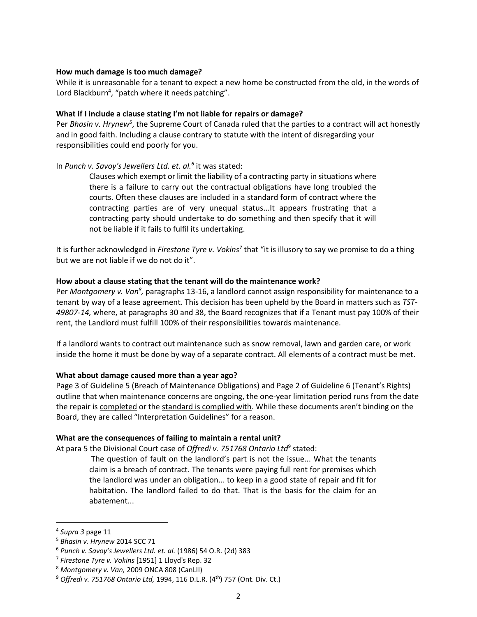#### **How much damage is too much damage?**

While it is unreasonable for a tenant to expect a new home be constructed from the old, in the words of Lord Blackburn<sup>4</sup>, "patch where it needs patching".

## **What if I include a clause stating I'm not liable for repairs or damage?**

Per *Bhasin v. Hrynew<sup>5</sup>*, the Supreme Court of Canada ruled that the parties to a contract will act honestly and in good faith. Including a clause contrary to statute with the intent of disregarding your responsibilities could end poorly for you.

## In *Punch v. Savoy's Jewellers Ltd. et. al.<sup>6</sup>* it was stated:

Clauses which exempt or limit the liability of a contracting party in situations where there is a failure to carry out the contractual obligations have long troubled the courts. Often these clauses are included in a standard form of contract where the contracting parties are of very unequal status...It appears frustrating that a contracting party should undertake to do something and then specify that it will not be liable if it fails to fulfil its undertaking.

It is further acknowledged in *Firestone Tyre v. Vokins<sup>7</sup>* that "it is illusory to say we promise to do a thing but we are not liable if we do not do it".

### **How about a clause stating that the tenant will do the maintenance work?**

Per *Montgomery v. Van<sup>8</sup>,* paragraphs 13-16, a landlord cannot assign responsibility for maintenance to a tenant by way of a lease agreement. This decision has been upheld by the Board in matters such as *TST-49807-14,* where, at paragraphs 30 and 38, the Board recognizes that if a Tenant must pay 100% of their rent, the Landlord must fulfill 100% of their responsibilities towards maintenance.

If a landlord wants to contract out maintenance such as snow removal, lawn and garden care, or work inside the home it must be done by way of a separate contract. All elements of a contract must be met.

#### **What about damage caused more than a year ago?**

Page 3 of Guideline 5 (Breach of Maintenance Obligations) and Page 2 of Guideline 6 (Tenant's Rights) outline that when maintenance concerns are ongoing, the one-year limitation period runs from the date the repair is completed or the standard is complied with. While these documents aren't binding on the Board, they are called "Interpretation Guidelines" for a reason.

#### **What are the consequences of failing to maintain a rental unit?**

At para 5 the Divisional Court case of *Offredi v. 751768 Ontario Ltd*<sup>9</sup> stated:

The question of fault on the landlord's part is not the issue... What the tenants claim is a breach of contract. The tenants were paying full rent for premises which the landlord was under an obligation... to keep in a good state of repair and fit for habitation. The landlord failed to do that. That is the basis for the claim for an abatement...

 $\overline{\phantom{a}}$ 

<sup>4</sup> *Supra 3* page 11

<sup>5</sup> *Bhasin v. Hrynew* 2014 SCC 71

<sup>6</sup> *Punch v. Savoy's Jewellers Ltd. et. al.* (1986) 54 O.R. (2d) 383

<sup>7</sup> *Firestone Tyre v. Vokins* [1951] 1 Lloyd's Rep. 32

<sup>8</sup> *Montgomery v. Van,* 2009 ONCA 808 (CanLII)

<sup>&</sup>lt;sup>9</sup> Offredi v. 751768 Ontario Ltd, 1994, 116 D.L.R. (4<sup>th</sup>) 757 (Ont. Div. Ct.)